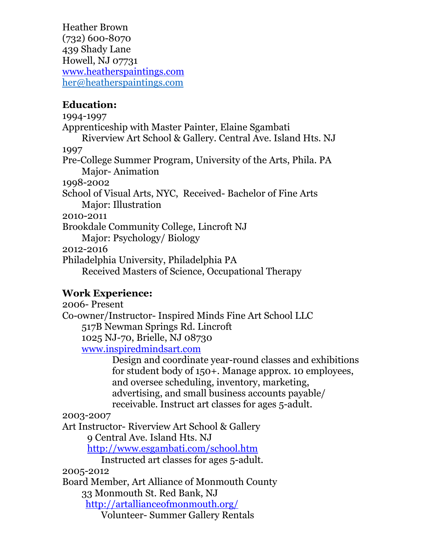Heather Brown (732) 600-8070 439 Shady Lane Howell, NJ 07731 [www.heatherspaintings.com](http://www.heatherspaintings.com) [her@heatherspaintings.com](mailto:her@heatherspaintings.com)

## **Education:**

1994-1997 Apprenticeship with Master Painter, Elaine Sgambati Riverview Art School & Gallery. Central Ave. Island Hts. NJ 1997 Pre-College Summer Program, University of the Arts, Phila. PA Major- Animation 1998-2002 School of Visual Arts, NYC, Received- Bachelor of Fine Arts Major: Illustration 2010-2011 Brookdale Community College, Lincroft NJ Major: Psychology/ Biology 2012-2016 Philadelphia University, Philadelphia PA Received Masters of Science, Occupational Therapy

## **Work Experience:**

2006- Present Co-owner/Instructor- Inspired Minds Fine Art School LLC 517B Newman Springs Rd. Lincroft 1025 NJ-70, Brielle, NJ 08730 [www.inspiredmindsart.com](http://www.inspiredmindsart.com) Design and coordinate year-round classes and exhibitions for student body of 150+. Manage approx. 10 employees, and oversee scheduling, inventory, marketing, advertising, and small business accounts payable/

receivable. Instruct art classes for ages 5-adult.

2003-2007

Art Instructor- Riverview Art School & Gallery

9 Central Ave. Island Hts. NJ

<http://www.esgambati.com/school.htm>

Instructed art classes for ages 5-adult.

2005-2012

Board Member, Art Alliance of Monmouth County

33 Monmouth St. Red Bank, NJ

<http://artallianceofmonmouth.org/>

Volunteer- Summer Gallery Rentals